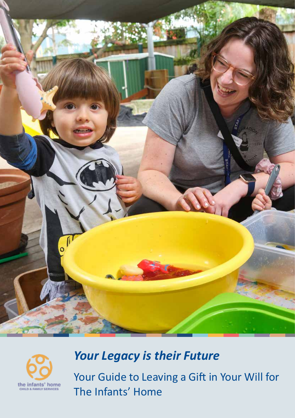



# *Your Legacy is their Future*

Your Guide to Leaving a Gift in Your Will for The Infants' Home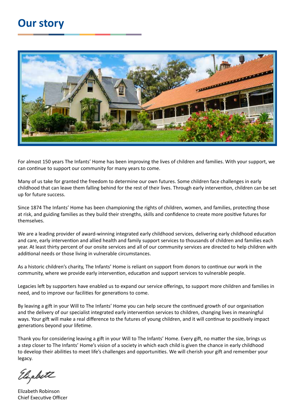#### **Our story**



For almost 150 years The Infants' Home has been improving the lives of children and families. With your support, we can continue to support our community for many years to come.

Many of us take for granted the freedom to determine our own futures. Some children face challenges in early childhood that can leave them falling behind for the rest of their lives. Through early intervention, children can be set up for future success.

Since 1874 The Infants' Home has been championing the rights of children, women, and families, protecting those at risk, and guiding families as they build their strengths, skills and confidence to create more positive futures for themselves.

We are a leading provider of award-winning integrated early childhood services, delivering early childhood education and care, early intervention and allied health and family support services to thousands of children and families each year. At least thirty percent of our onsite services and all of our community services are directed to help children with additional needs or those living in vulnerable circumstances.

As a historic children's charity, The Infants' Home is reliant on support from donors to continue our work in the community, where we provide early intervention, education and support services to vulnerable people.

Legacies left by supporters have enabled us to expand our service offerings, to support more children and families in need, and to improve our facilities for generations to come.

By leaving a gift in your Will to The Infants' Home you can help secure the continued growth of our organisation and the delivery of our specialist integrated early intervention services to children, changing lives in meaningful ways. Your gift will make a real difference to the futures of young children, and it will continue to positively impact generations beyond your lifetime.

Thank you for considering leaving a gift in your Will to The Infants' Home. Every gift, no matter the size, brings us a step closer to The Infants' Home's vision of a society in which each child is given the chance in early childhood to develop their abilities to meet life's challenges and opportunities. We will cherish your gift and remember your legacy.

Elizabeth

Elizabeth Robinson Chief Executive Officer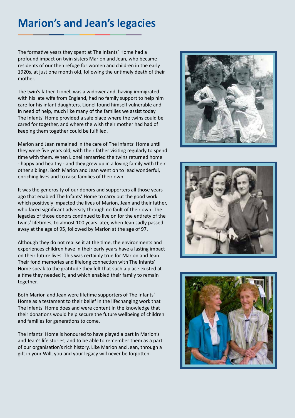#### **Marion's and Jean's legacies**

The formative years they spent at The Infants' Home had a profound impact on twin sisters Marion and Jean, who became residents of our then refuge for women and children in the early 1920s, at just one month old, following the untimely death of their mother.

The twin's father, Lionel, was a widower and, having immigrated with his late wife from England, had no family support to help him care for his infant daughters. Lionel found himself vulnerable and in need of help, much like many of the families we assist today. The Infants' Home provided a safe place where the twins could be cared for together, and where the wish their mother had had of keeping them together could be fulfilled.

Marion and Jean remained in the care of The Infants' Home until they were five years old, with their father visiting regularly to spend time with them. When Lionel remarried the twins returned home - happy and healthy - and they grew up in a loving family with their other siblings. Both Marion and Jean went on to lead wonderful, enriching lives and to raise families of their own.

It was the generosity of our donors and supporters all those years ago that enabled The Infants' Home to carry out the good work which positively impacted the lives of Marion, Jean and their father, who faced significant adversity through no fault of their own. The legacies of those donors continued to live on for the entirety of the twins' lifetimes, to almost 100 years later, when Jean sadly passed away at the age of 95, followed by Marion at the age of 97.

Although they do not realise it at the time, the environments and experiences children have in their early years have a lasting impact on their future lives. This was certainly true for Marion and Jean. Their fond memories and lifelong connection with The Infants' Home speak to the gratitude they felt that such a place existed at a time they needed it, and which enabled their family to remain together.

Both Marion and Jean were lifetime supporters of The Infants' Home as a testament to their belief in the lifechanging work that The Infants' Home does and were content in the knowledge that their donations would help secure the future wellbeing of children and families for generations to come.

The Infants' Home is honoured to have played a part in Marion's and Jean's life stories, and to be able to remember them as a part of our organisation's rich history. Like Marion and Jean, through a gift in your Will, you and your legacy will never be forgotten.





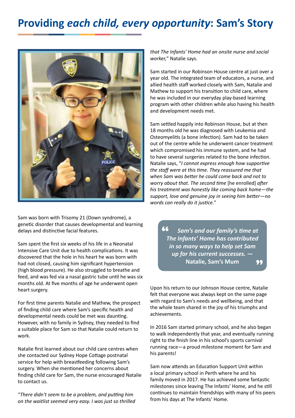#### **Providing** *each child, every opportunity***: Sam's Story**



Sam was born with Trisomy 21 (Down syndrome), a genetic disorder that causes developmental and learning delays and distinctive facial features.

Sam spent the first six weeks of his life in a Neonatal Intensive Care Unit due to health complications. It was discovered that the hole in his heart he was born with had not closed, causing him significant hypertension (high blood pressure). He also struggled to breathe and feed, and was fed via a nasal gastric tube until he was six months old. At five months of age he underwent open heart surgery.

For first time parents Natalie and Mathew, the prospect of finding child care where Sam's specific health and developmental needs could be met was daunting. However, with no family in Sydney, they needed to find a suitable place for Sam so that Natalie could return to work.

Natalie first learned about our child care centres when she contacted our Sydney Hope Cottage postnatal service for help with breastfeeding following Sam's surgery. When she mentioned her concerns about finding child care for Sam, the nurse encouraged Natalie to contact us.

"*There didn't seem to be a problem, and putting him on the waitlist seemed very easy. I was just so thrilled*  *that The Infants' Home had an onsite nurse and social worker,*" Natalie says.

Sam started in our Robinson House centre at just over a year old. The integrated team of educators, a nurse, and allied health staff worked closely with Sam, Natalie and Mathew to support his transition to child care, where he was included in our everyday play-based learning program with other children while also having his health and development needs met.

Sam settled happily into Robinson House, but at then 18 months old he was diagnosed with Leukemia and Osteomyelitis (a bone infection). Sam had to be taken out of the centre while he underwent cancer treatment which compromised his immune system, and he had to have several surgeries related to the bone infection. Natalie says, "*I cannot express enough how supportive the staff were at this time. They reassured me that when Sam was better he could come back and not to worry about that. The second time* [he enrolled] *after his treatment was honestly like coming back home—the support, love and genuine joy in seeing him better—no words can really do it justice.*"

 *Sam's and our family's time at The Infants' Home has contributed in so many ways to help set Sam up for his current successes. —*  **Natalie, Sam's Mum** " "

Upon his return to our Johnson House centre, Natalie felt that everyone was always kept on the same page with regard to Sam's needs and wellbeing, and that the whole team shared in the joy of his triumphs and achievements.

In 2016 Sam started primary school, and he also began to walk independently that year, and eventually running right to the finish line in his school's sports carnival running race—a proud milestone moment for Sam and his parents!

Sam now attends an Education Support Unit within a local primary school in Perth where he and his family moved in 2017. He has achieved some fantastic milestones since leaving The Infants' Home, and he still continues to maintain friendships with many of his peers from his days at The Infants' Home.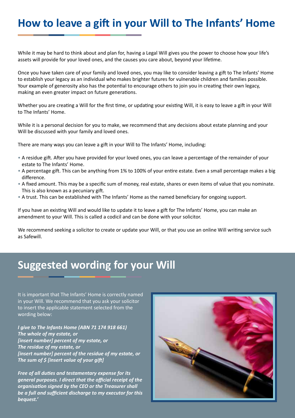## **How to leave a gift in your Will to The Infants' Home**

While it may be hard to think about and plan for, having a Legal Will gives you the power to choose how your life's assets will provide for your loved ones, and the causes you care about, beyond your lifetime.

Once you have taken care of your family and loved ones, you may like to consider leaving a gift to The Infants' Home to establish your legacy as an individual who makes brighter futures for vulnerable children and families possible. Your example of generosity also has the potential to encourage others to join you in creating their own legacy, making an even greater impact on future generations.

Whether you are creating a Will for the first time, or updating your existing Will, it is easy to leave a gift in your Will to The Infants' Home.

While it is a personal decision for you to make, we recommend that any decisions about estate planning and your Will be discussed with your family and loved ones.

There are many ways you can leave a gift in your Will to The Infants' Home, including:

- A residue gift. After you have provided for your loved ones, you can leave a percentage of the remainder of your estate to The Infants' Home.
- A percentage gift. This can be anything from 1% to 100% of your entire estate. Even a small percentage makes a big difference.
- A fixed amount. This may be a specific sum of money, real estate, shares or even items of value that you nominate. This is also known as a pecuniary gift.
- A trust. This can be established with The Infants' Home as the named beneficiary for ongoing support.

If you have an existing Will and would like to update it to leave a gift for The Infants' Home, you can make an amendment to your Will. This is called a codicil and can be done with your solicitor.

We recommend seeking a solicitor to create or update your Will, or that you use an online Will writing service such as Safewill.

## **Suggested wording for your Will**

It is important that The Infants' Home is correctly named in your Will. We recommend that you ask your solicitor to insert the applicable statement selected from the wording below:

*I give to The Infants Home (ABN 71 174 918 661) The whole of my estate, or [insert number] percent of my estate, or The residue of my estate, or [insert number] percent of the residue of my estate, or The sum of \$ [insert value of your gift]*

*Free of all duties and testamentary expense for its general purposes. I direct that the official receipt of the organisation signed by the CEO or the Treasurer shall be a full and sufficient discharge to my executor for this bequest.'*